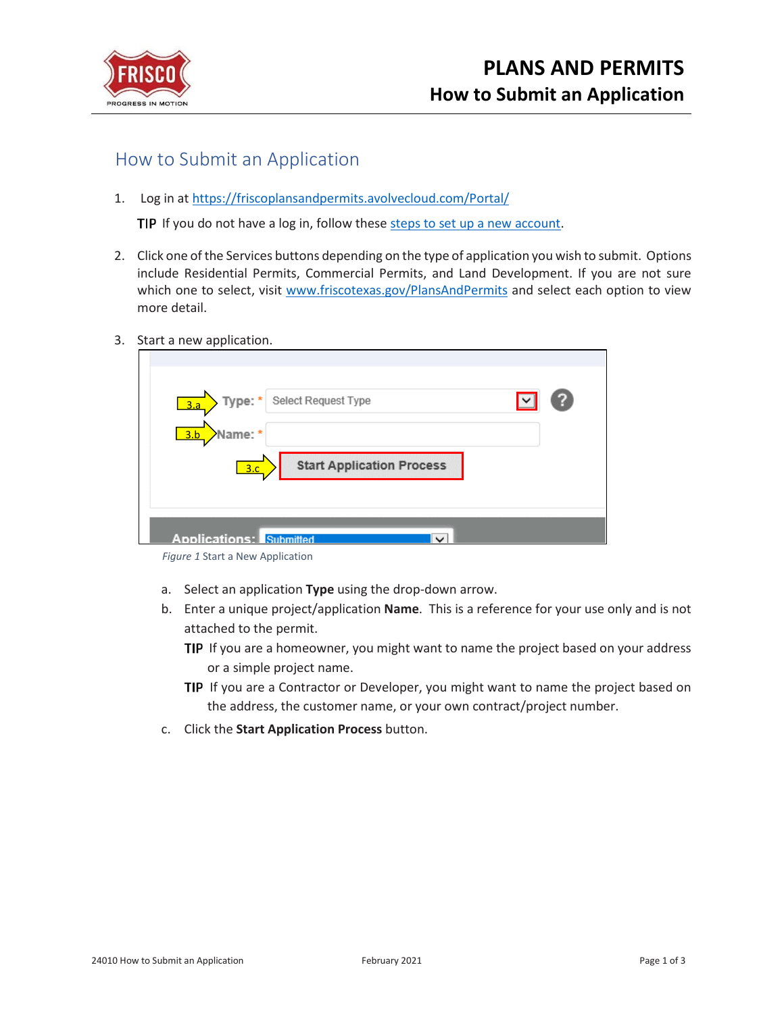

## How to Submit an Application

1. Log in at<https://friscoplansandpermits.avolvecloud.com/Portal/>

TIP If you do not have a log in, follow these [steps to set up a new account.](https://www.friscotexas.gov/DocumentCenter/View/21715)

- 2. Click one of the Services buttons depending on the type of application you wish to submit. Options include Residential Permits, Commercial Permits, and Land Development. If you are not sure which one to select, visit [www.friscotexas.gov/PlansAndPermits](http://www.friscotexas.gov/PlansAndPermits) and select each option to view more detail.
- 3. Start a new application.

| Type: * Select Request Type<br>3.a                        |  |
|-----------------------------------------------------------|--|
| Name: *<br>3.b<br><b>Start Application Process</b><br>3.c |  |
| <b>Applications: Submitted</b><br>$\checkmark$            |  |

- a. Select an application **Type** using the drop-down arrow.
- b. Enter a unique project/application **Name**. This is a reference for your use only and is not attached to the permit.
	- **TIP** If you are a homeowner, you might want to name the project based on your address or a simple project name.
	- TIP If you are a Contractor or Developer, you might want to name the project based on the address, the customer name, or your own contract/project number.
- c. Click the **Start Application Process** button.

*Figure 1* Start a New Application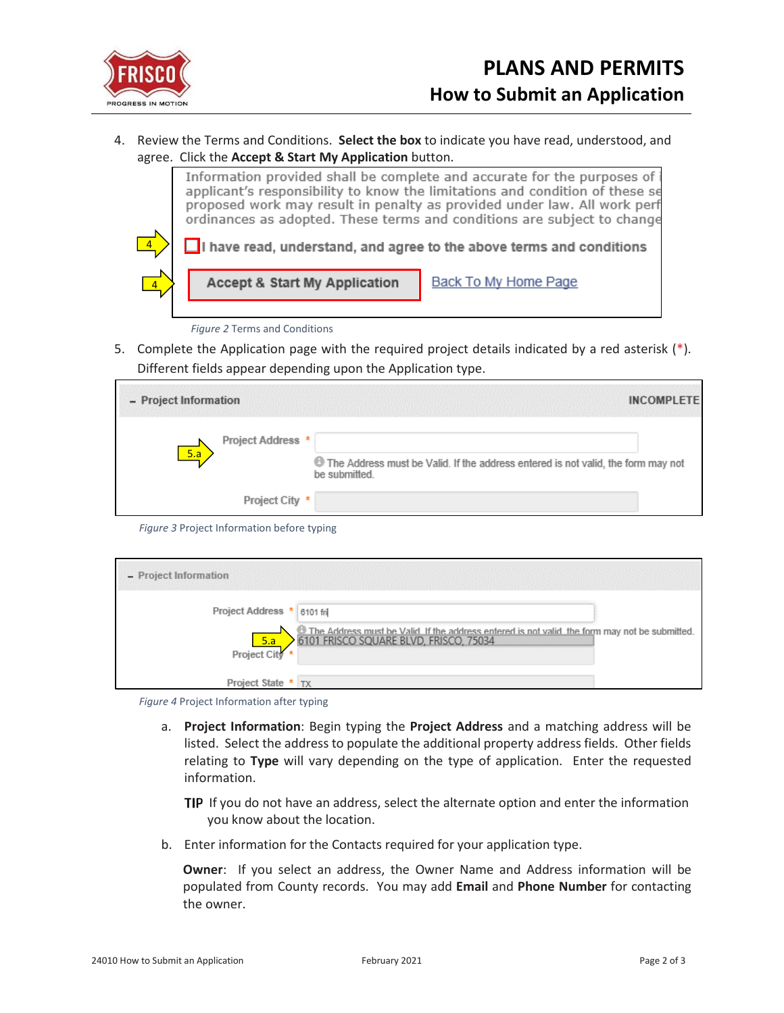

4. Review the Terms and Conditions. **Select the box** to indicate you have read, understood, and agree. Click the **Accept & Start My Application** button.



*Figure 2* Terms and Conditions

5. Complete the Application page with the required project details indicated by a red asterisk  $(*)$ . Different fields appear depending upon the Application type.

| - Project Information |                   | <b>INCOMPLETE</b>                                                                                 |
|-----------------------|-------------------|---------------------------------------------------------------------------------------------------|
| 5.a                   | Project Address * | The Address must be Valid. If the address entered is not valid, the form may not<br>be submitted. |
|                       | Project City *    |                                                                                                   |

*Figure 3* Project Information before typing

| - Project Information      |                                                                                                                                          |  |
|----------------------------|------------------------------------------------------------------------------------------------------------------------------------------|--|
| Project Address * 6101 fri |                                                                                                                                          |  |
| Froject City               | The Address must be Valid. If the address entered is not valid, the form may not be submitted.<br>6101 FRISCO SQUARE BLVD, FRISCO, 75034 |  |
|                            |                                                                                                                                          |  |
| Project State $*$ TX       |                                                                                                                                          |  |

*Figure 4* Project Information after typing

a. **Project Information**: Begin typing the **Project Address** and a matching address will be listed. Select the address to populate the additional property address fields. Other fields relating to **Type** will vary depending on the type of application. Enter the requested information.

**TIP** If you do not have an address, select the alternate option and enter the information you know about the location.

b. Enter information for the Contacts required for your application type.

**Owner**: If you select an address, the Owner Name and Address information will be populated from County records. You may add **Email** and **Phone Number** for contacting the owner.